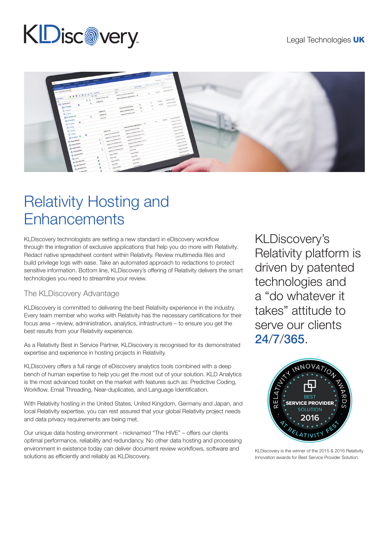# **KDisc@very**



# Relativity Hosting and **Enhancements**

KLDiscovery technologists are setting a new standard in eDiscovery workflow through the integration of exclusive applications that help you do more with Relativity. Redact native spreadsheet content within Relativity. Review multimedia files and build privilege logs with ease. Take an automated approach to redactions to protect sensitive information. Bottom line, KLDiscovery's offering of Relativity delivers the smart technologies you need to streamline your review.

### The KLDiscovery Advantage

KLDiscovery is committed to delivering the best Relativity experience in the industry. Every team member who works with Relativity has the necessary certifications for their focus area – review, administration, analytics, infrastructure – to ensure you get the best results from your Relativity experience.

As a Relativity Best in Service Partner, KLDiscovery is recognised for its demonstrated expertise and experience in hosting projects in Relativity.

KLDiscovery offers a full range of eDiscovery analytics tools combined with a deep bench of human expertise to help you get the most out of your solution. KLD Analytics is the most advanced toolkit on the market with features such as: Predictive Coding, Workflow, Email Threading, Near-duplicates, and Language Identification.

With Relativity hosting in the United States, United Kingdom, Germany and Japan, and local Relativity expertise, you can rest assured that your global Relativity project needs and data privacy requirements are being met.

Our unique data hosting environment - nicknamed "The HIVE" – offers our clients optimal performance, reliability and redundancy. No other data hosting and processing environment in existence today can deliver document review workflows, software and solutions as efficiently and reliably as KLDiscovery.

KLDiscovery's Relativity platform is driven by patented technologies and a "do whatever it takes" attitude to serve our clients 24/7/365.



KLDiscovery is the winner of the 2015 & 2016 Relativity Innovation awards for Best Service Provider Solution.